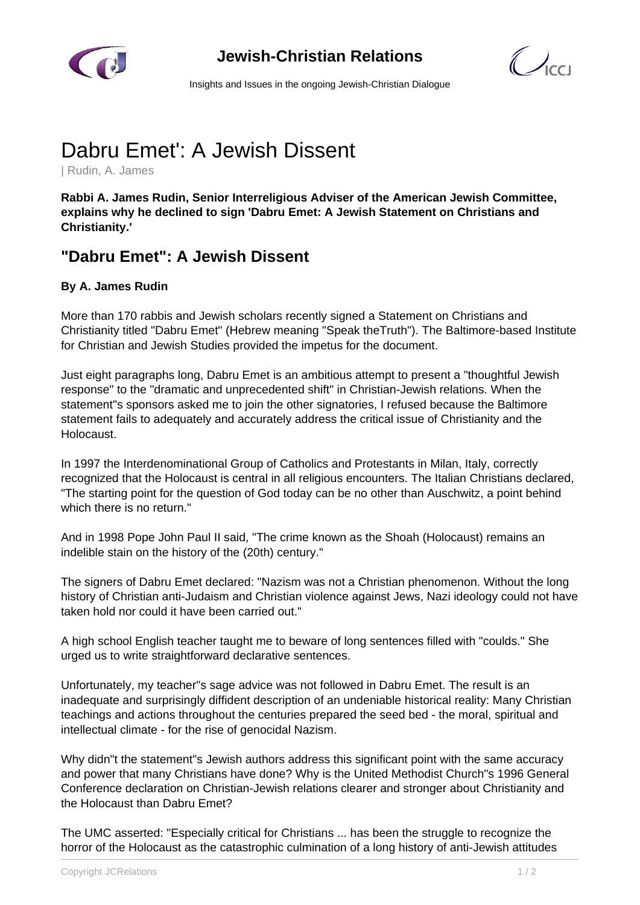

## **Jewish-Christian Relations**

 $\mathbb{Z}_{\text{cc}}$ 

Insights and Issues in the ongoing Jewish-Christian Dialogue

## Dabru Emet': A Jewish Dissent

| Rudin, A. James

**Rabbi A. James Rudin, Senior Interreligious Adviser of the American Jewish Committee, explains why he declined to sign 'Dabru Emet: A Jewish Statement on Christians and Christianity.'**

## **"Dabru Emet": A Jewish Dissent**

## **By A. James Rudin**

More than 170 rabbis and Jewish scholars recently signed a Statement on Christians and Christianity titled "Dabru Emet" (Hebrew meaning "Speak theTruth"). The Baltimore-based Institute for Christian and Jewish Studies provided the impetus for the document.

Just eight paragraphs long, Dabru Emet is an ambitious attempt to present a "thoughtful Jewish response" to the "dramatic and unprecedented shift" in Christian-Jewish relations. When the statement"s sponsors asked me to join the other signatories, I refused because the Baltimore statement fails to adequately and accurately address the critical issue of Christianity and the Holocaust.

In 1997 the Interdenominational Group of Catholics and Protestants in Milan, Italy, correctly recognized that the Holocaust is central in all religious encounters. The Italian Christians declared, "The starting point for the question of God today can be no other than Auschwitz, a point behind which there is no return."

And in 1998 Pope John Paul II said, "The crime known as the Shoah (Holocaust) remains an indelible stain on the history of the (20th) century."

The signers of Dabru Emet declared: "Nazism was not a Christian phenomenon. Without the long history of Christian anti-Judaism and Christian violence against Jews, Nazi ideology could not have taken hold nor could it have been carried out."

A high school English teacher taught me to beware of long sentences filled with "coulds." She urged us to write straightforward declarative sentences.

Unfortunately, my teacher"s sage advice was not followed in Dabru Emet. The result is an inadequate and surprisingly diffident description of an undeniable historical reality: Many Christian teachings and actions throughout the centuries prepared the seed bed - the moral, spiritual and intellectual climate - for the rise of genocidal Nazism.

Why didn"t the statement"s Jewish authors address this significant point with the same accuracy and power that many Christians have done? Why is the United Methodist Church"s 1996 General Conference declaration on Christian-Jewish relations clearer and stronger about Christianity and the Holocaust than Dabru Emet?

The UMC asserted: "Especially critical for Christians ... has been the struggle to recognize the horror of the Holocaust as the catastrophic culmination of a long history of anti-Jewish attitudes